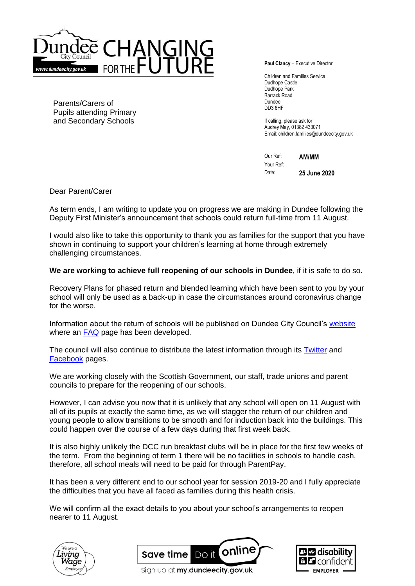

Parents/Carers of Pupils attending Primary and Secondary Schools

**Paul Clancy** – Executive Director

Children and Families Service Dudhope Castle Dudhope Park Barrack Road Dundee DD3 6HF

If calling, please ask for Audrey May, 01382 433071 Email: children.families@dundeecity.gov.uk

Our Ref: **AM/MM** Your Ref: Date: **25 June 2020**

Dear Parent/Carer

As term ends, I am writing to update you on progress we are making in Dundee following the Deputy First Minister's announcement that schools could return full-time from 11 August.

I would also like to take this opportunity to thank you as families for the support that you have shown in continuing to support your children's learning at home through extremely challenging circumstances.

**We are working to achieve full reopening of our schools in Dundee**, if it is safe to do so.

Recovery Plans for phased return and blended learning which have been sent to you by your school will only be used as a back-up in case the circumstances around coronavirus change for the worse.

Information about the return of schools will be published on Dundee City Council's [website](http://www.dundeecity.gov.uk/) where an [FAQ](https://www.dundeecity.gov.uk/coronavirus/faqs-for-parents-about-the-re-opening-of-schools-and-nurseries) page has been developed.

The council will also continue to distribute the latest information through its **Twitter** and [Facebook](https://www.facebook.com/officialdundeecity) pages.

We are working closely with the Scottish Government, our staff, trade unions and parent councils to prepare for the reopening of our schools.

However, I can advise you now that it is unlikely that any school will open on 11 August with all of its pupils at exactly the same time, as we will stagger the return of our children and young people to allow transitions to be smooth and for induction back into the buildings. This could happen over the course of a few days during that first week back.

It is also highly unlikely the DCC run breakfast clubs will be in place for the first few weeks of the term. From the beginning of term 1 there will be no facilities in schools to handle cash, therefore, all school meals will need to be paid for through ParentPay.

It has been a very different end to our school year for session 2019-20 and I fully appreciate the difficulties that you have all faced as families during this health crisis.

We will confirm all the exact details to you about your school's arrangements to reopen nearer to 11 August.







Sign up at my.dundeecity.gov.uk